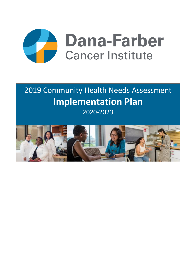

# 2019 Community Health Needs Assessment **Implementation Plan** 2020-2023

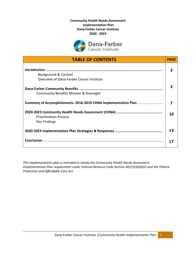**Community Health Needs Assessment Implementation Plan Dana-Farber Cancer Institute 2020 - 2023**



| <b>TABLE OF CONTENTS</b>                                         | <b>PAGE</b> |
|------------------------------------------------------------------|-------------|
| Background & Context<br>Overview of Dana-Farber Cancer Institute | 3           |
| <b>Community Benefits Mission &amp; Oversight</b>                | 3           |
| Summary of Accomplishments: 2016-2019 CHNA Implementation Plan   | 7           |
| <b>Prioritization Process</b><br><b>Key Findings</b>             | 10          |
|                                                                  | 13          |
|                                                                  | 17          |

*This implementation plan is intended to satisfy the Community Health Needs Assessment Implementation Plan requirement under Internal Revenue Code Section 501(r)(3)(A)(iii) and the Patient Protection and Affordable Care Act.*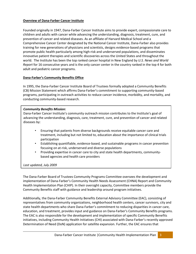# **Overview of Dana-Farber Cancer Institute**

Founded originally in 1947, Dana-Farber Cancer Institute aims to provide expert, compassionate care to children and adults with cancer while advancing the understanding, diagnosis, treatment, cure, and prevention of cancer and related diseases. As an affiliate of Harvard Medical School and a Comprehensive Cancer Center designated by the National Cancer Institute, Dana-Farber also provides training for new generations of physicians and scientists, designs evidence-based programs that promote public health particularly among high-risk and underserved populations, and disseminates innovative patient therapies and scientific discoveries across the United States and throughout the world. The Institute has been the top ranked cancer hospital in New England by *U.S. News and World Report* for 16 consecutive years and is the only cancer center in the country ranked in the top 4 for both adult and pediatric cancer programs.

#### **Dana-Farber's Community Benefits Office**

In 1995, the Dana-Farber Cancer Institute Board of Trustees formally adopted a Community Benefits (CB) Mission Statement which affirms Dana-Farber's commitment to supporting community-based programs, participating in outreach activities to reduce cancer incidence, morbidity, and mortality, and conducting community-based research.

#### *Community Benefits Mission:*

Dana-Farber Cancer Institute's community outreach mission contributes to the Institute's goal of advancing the understanding, diagnosis, care, treatment, cure, and prevention of cancer and related diseases by:

- Ensuring that patients from diverse backgrounds receive equitable cancer care and treatment, including but not limited to, education about the importance of clinical trials participation
- Establishing quantifiable, evidence-based, and sustainable programs in cancer prevention focusing on at-risk, underserved and diverse populations
- Providing expertise in cancer care to city and state health departments, communitybased agencies and health care providers

*Last updated, July 2009*

The Dana-Farber Board of Trustees Community Programs Committee oversees the development and implementation of Dana-Farber's Community Health Needs Assessment (CHNA) Report and Community Health Implementation Plan (CHIP). In their oversight capacity, Committee members provide the Community Benefits staff with guidance and leadership around program initiatives.

Additionally, the Dana-Farber Community Benefits External Advisory Committee (EAC), consisting of representatives from community organizations, neighborhood health centers, cancer survivors, city and state health departments who share Dana-Farber's commitment to reducing disparities in cancer care, education, and treatment, provides input and guidance on Dana-Farber's Community Benefits programs. The EAC is also responsible for the development and implementation of specific Community Benefits initiatives, including Community Health Initiatives (CHI) associated with Dana-Farber's recently approved Determination of Need (DoN) application for satellite expansion. Further, the EAC ensures that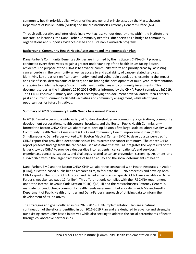community health priorities align with priorities and general principles set by the Massachusetts Department of Public Health (MDPH) and the Massachusetts Attorney General's Office (AGO).

Through collaborative and inter-disciplinary work across various departments within the Institute and our satellite locations, the Dana-Farber Community Benefits Office serves as a bridge to community organizations and supports evidence-based and sustainable outreach programs.

#### **Background: Community Health Needs Assessment and Implementation Plan**

Dana-Farber's Community Benefits activities are informed by the Institute's CHNA/CHIP process, conducted every three years to gain a greater understanding of the health issues facing Boston residents. The purpose of the CHNA is to advance community efforts and priority areas by: assessing cancer burden in the community as well as access to and availability of cancer-related services; identifying key areas of significant community need and vulnerable populations; examining the impact and role of social determinants of health; and facilitating the development of multi-year implementation strategies to guide the hospital's community health initiatives and community investments. This document serves as the Institute's 2020-2023 CHIP, as informed by the CHNA Report completed in2019. The CHNA Executive Summary and Report accompanying this document have validated Dana-Farber's past and current Community Benefits activities and community engagement, while identifying opportunities for future initiatives.

#### **Summary of 2019 Community Health Needs Assessment Process**

In 2019, Dana-Farber and a wide variety of Boston stakeholders— community organizations, community development corporations, health centers, hospitals, and the Boston Public Health Commission formed the Boston CHNA-CHIP Collaborative to develop Boston's first large-scale collaborative city-wide Community Health Needs Assessment (CHNA) and Community Health Improvement Plan (CHIP). Simultaneously, Dana-Farber worked with Boston Medical Center (BMC) to develop a cancer-specific CHNA report that provides a deeper analysis of issues across the cancer continuum. The cancer CHNA report presents findings from the cancer-focused assessment as well as integrates the key results of the larger citywide CHNA to provide a deeper dive into residents', cancer patients', and survivors' experiences, concerns, supports, and challenges related to cancer prevention, screening, treatment, and survivorship within the larger framework of health equity and the social determinants of health.

Dana-Farber, BMC and the Boston CHNA-CHIP Collaborative contracted with Health Resources in Action (HRiA), a Boston-based public health research firm, to facilitate the CHNA processes and develop both CHNA reports. The Boston CHNA report and Dana-Farber's cancer specific CHNA are available on Dana-Farber's website (see page 17 for link). This effort not only complies with the IRS CHNA requirement under the Internal Revenue Code Section 501(r)(3)(A)(iii) and the Massachusetts Attorney General's mandate for conducting a community health needs assessment, but also aligns with Massachusetts Department of Public Health priorities and Dana-Farber's approach of utilizing data to inform the development of its initiatives.

The strategies and goals outlined in our 2020-2023 CHNA Implementation Plan are a natural continuation of the efforts identified in our 2016-2019 Plan and are designed to advance and strengthen our existing community-based initiatives while also seeking to address the social determinants of health through collaborative partnerships.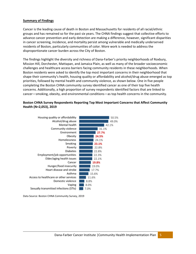#### **Summary of Findings**

Cancer is the leading cause of death in Boston and Massachusetts for residents of all racial/ethnic groups and has remained so for the past six years. The CHNA findings suggest that collective efforts to advance cancer prevention and early detection are making a difference, however, significant disparities in cancer screening, incidence, and mortality persist among vulnerable and medically underserved residents of Boston, particularly communities of color. More work is needed to address the disproportionate cancer burden across the City of Boston.

The findings highlight the diversity and richness of Dana-Farber's priority neighborhoods of Roxbury, Mission Hill, Dorchester, Mattapan, and Jamaica Plain, as well as many of the broader socioeconomic challenges and healthcare access barriers facing community residents in these neighborhoods. When Boston residents were asked to identify the top most important concerns in their neighborhood that shape their community's health, housing quality or affordability and alcohol/drug abuse emerged as top priorities, followed by mental health and community violence, as shown below. One in five people completing the Boston CHNA community survey identified cancer as one of their top five health concerns. Additionally, a high proportion of survey respondents identified factors that are linked to cancer—smoking, obesity, and environmental conditions—as top health concerns in the community.

#### **Boston CHNA Survey Respondents Reporting Top Most Important Concerns that Affect Community Health (N=2,053), 2019**



Data Source: Boston CHNA Community Survey, 2019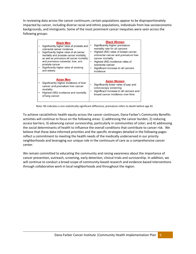In reviewing data across the cancer continuum, certain populations appear to be disproportionately impacted by cancer, including diverse racial and ethnic populations, individuals from low socioeconomic backgrounds, and immigrants. Some of the most prominent cancer inequities were seen across the following groups:

| <b>Black Men</b><br>Significantly higher rates of prostate and<br>colorectal cancer incidence<br>Significantly higher rates of all cancer<br>mortality and prostate cancer mortality,<br>as well as premature all cancer mortality<br>and premature colorectal, liver, and<br>prostate cancer<br>Significantly higher rates of smoking<br>and obesity | <b>Black Women</b><br>Significantly higher premature<br>mortality rate for all cancers<br>Highest (NS) rates of breast cancer,<br>$\bullet$<br>colorectal cancer and premature liver<br>cancer mortality<br>Highest (NS) incidence rates of<br>$\bullet$<br>colorectal cancer<br>Significant increase in all cancers<br>incidence |
|-------------------------------------------------------------------------------------------------------------------------------------------------------------------------------------------------------------------------------------------------------------------------------------------------------------------------------------------------------|-----------------------------------------------------------------------------------------------------------------------------------------------------------------------------------------------------------------------------------------------------------------------------------------------------------------------------------|
| <b>Asian Men</b><br>Significantly higher incidence of liver<br>cancer and premature liver cancer<br>mortality<br>Highest (NS) incidence and mortality<br>of lung cancer                                                                                                                                                                               | <b>Asian Women</b><br>Significantly lower rates of pap and<br>colonoscopy screening<br>Significant increase in all cancers and<br>breast cancer incidence over time                                                                                                                                                               |

Note: NS indicates a non-statistically significant difference; premature refers to death before age 65

To achieve racial/ethnic health equity across the cancer continuum, Dana-Farber's Community Benefits activities will continue to focus on the following areas: 1) addressing the cancer burden; 2) reducing access barriers; 3) advancing cancer survivorship, particularly in communities of color; and 4) addressing the social determinants of health to influence the overall conditions that contribute to cancer risk. We believe that these data-informed priorities and the specific strategies detailed in the following pages reflect a commitment to meeting the health needs of the medically underserved in our priority neighborhoods and leveraging our unique role in the continuum of care as a comprehensive cancer center.

We remain committed to educating the community and raising awareness about the importance of cancer prevention, outreach, screening, early detection, clinical trials and survivorship. In addition, we will continue to conduct a broad scope of community-based research and evidence-based interventions through collaborative work in local neighborhoods and throughout the region.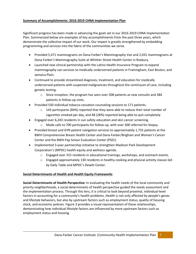# **Summary of Accomplishments: 2016-2019 CHNA Implementation Plan**

Significant progress has been made in advancing the goals set in our 2016-2019 CHNA Implementation Plan. Summarized below are examples of key accomplishments from the past three years, which demonstrate the collective impact of our work. Our impact is greatly strengthened by embedding programming and services into the fabric of the communities we serve.

- Provided 5,471 mammograms on Dana-Farber's Mammography Van and 2,031 mammograms at Dana-Farber's Mammography Suite at Whittier Street Health Center in Roxbury.
- Launched new clinical partnership with the Latino Health Insurance Program to expand mammography van services to medically underserved patients in Framingham, East Boston, and Jamaica Plain.
- Continued to provide streamlined diagnosis, treatment, and education for medically underserved patients with suspected malignancies throughout the continuum of care, including genetic testing.
	- $\circ$  Since inception, the program has seen over 508 patients as new consults and 384 patients in follow-up visits.
- Provided 530 individual tobacco cessation counseling sessions to 171 patients.
	- $\circ$  143 participants (84%) reported that they were able to reduce their total number of cigarettes smoked per day, and 48 (28%) reported being able to quit completely.
- Engaged over 6,243 residents in sun safety education and skin cancer screening.
	- o Made calls to 700 participants for follow-up, with over 300 referred for biopsy.
- Provided breast and GYN patient navigation services to approximately 1,735 patients at the BWH Comprehensive Breast Health Center and Dana-Farber/Brigham and Women's Cancer Center and the BWH Pap Smear Evaluation Center (PSEC)
- Implemented 3-year partnership initiative to strengthen Madison Park Development Corporation's (MPDC) health equity and wellness agenda.
	- o Engaged over 315 residents in educational trainings, workshops, and outreach events.
	- $\circ$  Engaged approximately 130 residents in healthy cooking and physical activity classes led by Daily Table and MPDC's Dewitt Center.

# **Social Determinants of Health and Health Equity Frameworks**

**Social Determinants of Health Perspective:** In evaluating the health needs of the local community and priority neighborhoods, a social determinants of health perspective guided the needs assessment and the implementation process. Through this lens, it is critical to look beyond proximal, individual-level factors in accounting for a community's health problems. Health is not only affected by people's genes and lifestyle behaviors, but also by upstream factors such as employment status, quality of housing stock, and economic policies. Figure 3 provides a visual representation of these relationships, demonstrating how individual lifestyle factors are influenced by more upstream factors such as employment status and housing.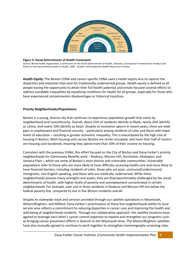

#### **Figure 3: Social Determinants of Health Framework**

Source: World Health Organization, Commission on the Social Determinants of Health, Towards a Conceptual Framework for Analysis and Action on the Social Determinants of Health, 2005. Graphic reformatted by Health Resources in Action.

**Health Equity:** The Boston CHNA and cancer-specific CHNA used a health equity lens to capture the disparities and inequities that exist for traditionally underserved groups. Health equity is defined as all people having the opportunity to attain their full health potential and entails focused societal efforts to address avoidable inequalities by equalizing conditions for health for all groups, especially for those who have experienced socioeconomic disadvantages or historical injustices.

#### **Priority Neighborhoods/Populations:**

Boston is a young, diverse city that continues to experience population growth that varies by neighborhood and race/ethnicity. Overall, about 23% of residents identify as Black, nearly 20% identify as Latino, and nearly 10% identify as Asian. Despite an economic upturn in recent years, there are wide gaps in employment and financial security – particularly among residents of color and those with lower levels of education – resulting in greater economic inequality. This is exacerbated by the high cost of housing in Boston. Most housing units across Boston are renter-occupied, and more than half of renters are housing cost-burdened, meaning they spend more than 30% of their income on housing.

Consistent with the previous CHNA, this effort focused on the City of Boston and Dana-Farber's priority neighborhoods for Community Benefits work – Roxbury, Mission Hill, Dorchester, Mattapan, and Jamaica Plain – which are some of Boston's most diverse and vulnerable communities. Vulnerable populations refer to those who are more likely to have difficulty accessing health care and more likely to have financial barriers, including residents of color, those who are poor, uninsured/underinsured, immigrants, non-English speaking, and those who are medically underserved. While these neighborhoods possess many strengths and assets, they are disproportionately challenged by the social determinants of health, with higher levels of poverty and unemployment concentrated in certain neighborhoods. For example, over one in three residents in Roxbury and Mission Hill live below the federal poverty line, compared to one in five Boston residents overall.

Despite its statewide reach and services provided through our satellite operations in Weymouth, Allston/Brighton, and Milford, Dana-Farber's prioritization of these five neighborhoods within its local service area reflects a commitment to reducing disparities in cancer care and improving the health and well-being of neighborhood residents. Through our collaborative approach, the satellite locations have agreed to leverage each other's cancer control expertise to expand and strengthen our programs such as bringing cancer prevention efforts in Spanish to the Weymouth Area. The Allston/Brighton satellites have also mutually agreed to continue to work together to strengthen mammography screening rates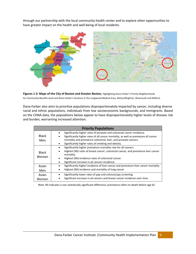through our partnership with the local community health center and to explore other opportunities to have greater impact on the health and well-being of local residents.





Dana-Farber also aims to prioritize populations disproportionately impacted by cancer, including diverse racial and ethnic populations, individuals from low socioeconomic backgrounds, and immigrants. Based on the CHNA data, the populations below appear to have disproportionately higher levels of disease risk and burden, warranting increased attention.

|                       | <b>Priority Populations</b>                                                                                                                                                                                                                                                                                |
|-----------------------|------------------------------------------------------------------------------------------------------------------------------------------------------------------------------------------------------------------------------------------------------------------------------------------------------------|
| <b>Black</b><br>Men   | Significantly higher rates of prostate and colorectal cancer incidence.<br>$\bullet$<br>Significantly higher rates of all cancer mortality, as well as premature all cancer<br>mortality and premature colorectal, liver, and prostate cancers.<br>Significantly higher rates of smoking and obesity.<br>٠ |
| <b>Black</b><br>Women | Significantly higher premature mortality rate for all cancers.<br>Highest (NS) rates of breast cancer, colorectal cancer, and premature liver cancer<br>$\bullet$<br>mortality.<br>Highest (NS) incidence rates of colorectal cancer.<br>٠<br>Significant increase in all cancers incidence.<br>$\bullet$  |
| Asian<br>Men          | Significantly higher incidence of liver cancer and premature liver cancer mortality.<br>Highest (NS) incidence and mortality of lung cancer<br>$\bullet$                                                                                                                                                   |
| Asian<br>Women        | Significantly lower rates of pap and colonoscopy screening.<br>Significant increase in all cancers and breast cancer incidence over time.                                                                                                                                                                  |

Note: NS indicates a non-statistically significant difference; premature refers to death before age 65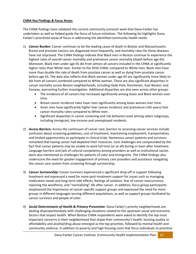# **CHNA Key Findings & Focus Areas:**

The CHNA findings have validated the current community outreach work that Dana-Farber has undertaken as well as helped guide the focus of future initiatives. The following list highlights Dana-Farber's prioritized areas of focus in addressing the identified community health needs.

- 1) *Cancer Burden:* Cancer continues to be the leading cause of death in Boston and Massachusetts. Breast and prostate cancers are diagnosed most frequently, and mortality rates for these diseases have not improved*.* The CHNA findings indicate that Black men in Boston continue to experience the highest rates of overall cancer mortality and premature cancer mortality (death before age 65). Moreover, Black men under age 65 die from almost all cancers included in the CHNA at significantly higher rates than White men. Similar to the 2016 CHNA, compared to White men, Black men have more than double the rate of death from prostate cancer as well as dying from prostate cancer before age 65. The data also reflects that Black women under age 65 are significantly more likely to die from all cancers combined compared to White women. There are also significant disparities in cancer mortality across Boston neighborhoods, including Hyde Park, Dorchester, East Boston, and Fenway, warranting further investigation. Additional disparities are also seen across other groups:
	- The incidence of all cancers has increased significantly among Asian and Black women over time.
	- Breast cancer incidence rates have risen significantly among Asian women over time.
	- Asian men have significantly higher liver cancer incidence and premature (<65 years) liver cancer mortality rates compared to White men.
	- Significant disparities in cancer screening and risk behaviors exist among select subgroups, including immigrant, low-income and unemployed residents.
- 2) *Access Barriers:* Across the continuum of cancer care, barriers to accessing cancer services include confusion about screening guidelines, cost of treatment, maintaining employment, transportation, and limited opportunities to participate in clinical trials. Numerous cancer patients and survivors remarked that having cancer had depleted their resources. Cost challenges are compounded by the fact that cancer patients may be unable to work full time (or at all) during or even after treatment. Language barriers and lack of cultural competency among providers as well as institutional racism were also mentioned as challenges for patients of color and immigrants. The CHNA findings also underscore the need for greater engagement of primary care providers and assistance navigating the cancer care system from screening through survivorship.
- 3) *Cancer Survivorship:* Cancer survivors experienced a significant drop-off in support following treatment and expressed a need for more post-treatment support for issues such as managing medication needs and long-term side effects, feelings of isolation, fear of cancer reoccurrence, rejoining the workforce, and "normalizing" life after cancer. In addition, focus group participants emphasized the importance of cancer-specific support groups and expressed the need for more groups in different languages serving different populations, as well as support groups facilitated by cancer survivors and people of color.
- 4) *Social Determinants of Health & Primary Prevention*: Dana-Farber's priority neighborhoods are dealing disproportionately with challenging situations related to the upstream social and economic factors that impact health. When Boston CHNA respondents were asked to identify the top most important concerns in their neighborhood that shape their community's health, housing quality or affordability and alcohol/drug abuse emerged as the top priorities, followed by mental health and community violence. In addition to poverty and high housing costs that force individuals to prioritize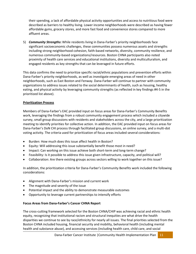their spending, a lack of affordable physical activity opportunities and access to nutritious food were described as barriers to healthy living. Lower income neighborhoods were described as having fewer affordable gyms, grocery stores, and more fast food and convenience stores compared to more affluent areas.

5) *Community Strengths***:** While residents living in Dana-Farber's priority neighborhoods face significant socioeconomic challenges, these communities possess numerous assets and strengths including strong neighborhood cohesion, faith-based networks, diversity, community resilience, and numerous community-based organizations/resources. Boston CHNA participants also noted proximity of health care services and educational institutions, diversity and multiculturalism, and engaged residents as key strengths that can be leveraged in future efforts.

This data confirms the need to prioritize specific racial/ethnic populations and prevention efforts within Dana-Farber's priority neighborhoods, as well as investigate emerging areas of need in other neighborhoods, such as East Boston and Fenway. Dana-Farber will continue to partner with community organizations to address issues related to the social determinants of health, such as housing, healthy eating, and physical activity by leveraging community strengths (as reflected in key findings #4-5 in the prioritized list above).

# **Prioritization Process**

Members of Dana-Farber's EAC provided input on focus areas for Dana-Farber's Community Benefits work, leveraging the findings from a robust community engagement process which included a citywide survey, small group discussions with residents and stakeholders across the city, and a large prioritization meeting to identify priorities for collective action. In addition, the EAC provided input on focus areas for Dana-Farber's DoN CHI process through facilitated group discussions, an online survey, and a multi-dot voting activity. The criteria used for prioritization of focus areas included several considerations:

- Burden: How much does this issue affect health in Boston?
- Equity: Will addressing this issue substantially benefit those most in need?
- Impact: Can working on this issue achieve both short-term and long-term change?
- Feasibility: Is it possible to address this issue given infrastructure, capacity, and political will?
- Collaboration: Are there existing groups across sectors willing to work together on this issue?

In addition, the prioritization criteria for Dana-Farber's Community Benefits work included the following considerations:

- Alignment with Dana-Farber's mission and current work
- The magnitude and severity of the issue
- Potential impact and the ability to demonstrate measurable outcomes
- Opportunity to leverage current partnerships to intensify efforts

#### **Focus Areas from Dana-Farber's Cancer CHNA Report**

The cross-cutting framework selected for the Boston CHNA/CHIP was achieving racial and ethnic health equity, recognizing that institutional racism and structural inequities are what drive the health disparities we continue to see by race/ethnicity for nearly all issues. The final priorities selected from the Boston CHNA included housing, financial security and mobility, behavioral health (including mental health and substance abuse), and accessing services (including health care, child care, and social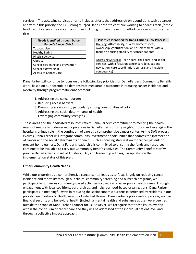services). The accessing services priority includes efforts that address chronic conditions such as cancer and within this priority, the EAC strongly urged Dana-Farber to continue working to address racial/ethnic health equity across the cancer continuum including primary prevention efforts associated with cancer risks.

| <b>Needs Identified through Dana-</b> |
|---------------------------------------|
| <b>Farber's Cancer CHNA</b>           |
| Tobacco Use                           |
| <b>Healthy Eating</b>                 |
| <b>Physical Activity</b>              |
| Obesity                               |
| Cancer Screening and Prevention       |
| Cancer Survivorship                   |
| <b>Access to Cancer Care</b>          |

**Priorities Identified for Dana-Farber's DoN Process** Housing: Affordability, quality, homelessness, ownership, gentrification, and displacement, with a focus on housing stability for cancer patients

Accessing Services: Health care, child care, and social services, with a focus on cancer care (e.g. patient navigation, care coordination, cultural and linguistic competency)

Dana-Farber will continue to focus on the following key priorities for Dana-Farber's Community Benefits work, based on our potential to demonstrate measurable outcomes in reducing cancer incidence and mortality through programmatic enhancements:

- 1. Addressing the cancer burden
- 2. Reducing access barriers
- 3. Promoting survivorship, particularly among communities of color
- 4. Addressing the social determinants of health
- 5. Leveraging community strengths

These areas and the dedicated resources reflect Dana-Farber's commitment to meeting the health needs of medically underserved populations in Dana-Farber's priority neighborhoods and leveraging the hospital's unique role in the continuum of care as a comprehensive cancer center. As the DoN process evolves, Dana-Farber will integrate community investment opportunities that address the intersection of cancer and the social determinants of health, such as housing stabilization for cancer patients to prevent homelessness. Dana-Farber's leadership is committed to ensuring the funds and resources continue to be available to carry out Community Benefits activities. The Community Benefits staff will provide Dana-Farber's Board of Trustees, EAC, and leadership with regular updates on the implementation status of this plan.

# **Other Community Health Needs**

While our expertise as a comprehensive cancer center leads us to focus largely on reducing cancer incidence and mortality through our clinical community screening and outreach programs, we participate in numerous community-based activities focused on broader public health issues. Through engagement with local coalitions, partnerships, and neighborhood-based organizations, Dana-Farber participates in meaningful ways in reducing the socioeconomic burdens experienced by residents in our priority neighborhoods. Health needs not selected through Dana-Farber's prioritization process, such as financial security and behavioral health (including mental health and substance abuse) were deemed outside the scope of Dana-Farber's cancer focus. However, we recognize that these issues overlap within the continuum of cancer care and they will be addressed at the individual patient level and through a collective impact approach.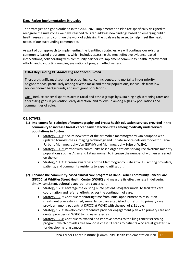# **Dana-Farber Implementation Strategies**

The strategies and goals outlined in the 2020-2023 Implementation Plan are specifically designed to recognize the milestones we have reached thus far, address new findings based on emerging public health research, and continue the work of achieving the goals we have set to help meet the health needs of our surrounding communities.

As part of our approach to implementing the identified strategies, we will continue our existing community-based programming, which includes assessing the most effective evidence-based interventions, collaborating with community partners to implement community health improvement efforts, and conducting ongoing evaluation of program effectiveness.

# **CHNA Key Finding #1:** *Addressing the Cancer Burden*

There are significant disparities in screening, cancer incidence, and mortality in our priority neighborhoods, particularly among diverse racial and ethnic populations, individuals from low socioeconomic backgrounds, and immigrant populations.

Goal: Reduce cancer disparities across racial and ethnic groups by sustaining high screening rates and addressing gaps in prevention, early detection, and follow-up among high-risk populations and communities of color.

#### **OBJECTIVES:**

- (1) **Implement full redesign of mammography and breast health education services provided in the community to increase breast cancer early detection rates among medically underserved populations in Boston.** 
	- Strategy 1.1.1: Secure new state of the art mobile mammography van equipped with updated tomosynthesis imaging technology and update service delivery model for Dana-Farber's Mammography Van (DFMV) and Mammography Suite at WSHC.
	- Strategy 1.1.2: Partner with community-based organizations serving racial/ethnic minority populations such as Asian and Latina women to increase the number of women screened on the van.
	- Strategy 1.1.3: Increase awareness of the Mammography Suite at WSHC among providers, patients, and community residents to expand utilization.
- (2) **Enhance the community-based clinical care program at Dana-Farber Community Cancer Care (DFCCC) at Whittier Street Health Center (WSHC)** and measure its effectiveness in delivering timely, consistent, culturally-appropriate cancer care:
	- Strategy 1.2.1: Leverage the existing nurse patient navigator model to facilitate care coordination and referral efforts across the continuum of care.
	- Strategy 1.2.2: Continue monitoring time from initial appointment to resolution (treatment plan established, surveillance plan established, or return to primary care provider) among patients at DFCCC at WSHC with the goal of ≤ 21 days.
	- Strategy 1.2.3: Develop comprehensive provider engagement plan with primary care and dental providers at WSHC to increase referrals.
	- Strategy 1.2.4: Continue to expand and improve access to the lung cancer screening program, which provides free low-dose chest CT scans to patients who are at greater risk for developing lung cancer.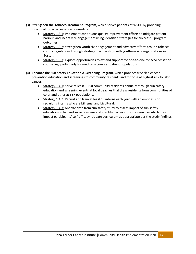- (3) **Strengthen the Tobacco Treatment Program**, which serves patients of WSHC by providing individual tobacco cessation counseling.
	- Strategy 1.3.1: Implement continuous quality improvement efforts to mitigate patient barriers and incentivize engagement using identified strategies for successful program outcomes.
	- Strategy 1.3.2: Strengthen youth civic engagement and advocacy efforts around tobacco control regulations through strategic partnerships with youth-serving organizations in Boston.
	- Strategy 1.3.3: Explore opportunities to expand support for one-to-one tobacco cessation counseling, particularly for medically complex patient populations.
- (4) **Enhance the Sun Safety Education & Screening Program**, which provides free skin cancer prevention education and screenings to community residents and to those at highest risk for skin cancer.
	- Strategy 1.4.1**:** Serve at least 1,250 community residents annually through sun safety education and screening events at local beaches that draw residents from communities of color and other at-risk populations.
	- Strategy 1.4.2: Recruit and train at least 10 interns each year with an emphasis on recruiting interns who are bilingual and bicultural.
	- Strategy 1.4.3: Analyze data from sun safety study to assess impact of sun safety education on hat and sunscreen use and identify barriers to sunscreen use which may impact participants' self-efficacy. Update curriculum as appropriate per the study findings.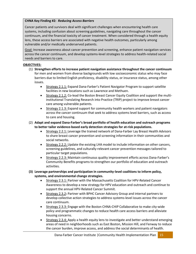# **CHNA Key Finding #2:** *Reducing Access Barriers*

Cancer patients and survivors deal with significant challenges when encountering health care systems, including confusion about screening guidelines, navigating care throughout the cancer continuum, and the financial toxicity of cancer treatment. When considered through a health equity lens, these access barriers are associated with negative health outcomes, particularly among vulnerable and/or medically underserved patients.

Goal: Increase awareness about cancer prevention and screening, enhance patient navigation services across the cancer continuum, and develop systems-level strategies to address health-related social needs and barriers to care.

# **OBJECTIVES:**

- (1) **Strengthen efforts to increase patient navigation assistance throughout the cancer continuum**  for men and women from diverse backgrounds with low socioeconomic status who may face barriers due to limited English proficiency, disability status, or insurance status, among other issues.
	- Strategy 2.1.1: Expand Dana-Farber's Patient Navigator Program to support satellite facilities in new locations such as Lawrence and Methuen.
	- Strategy 2.1.2: Co-lead the Boston Breast Cancer Equity Coalition and support the multiinstitutional Translating Research into Practice (TRIP) project to improve breast cancer care among vulnerable patients.
	- Strategy 2.1.3: Expand support for community health workers and patient navigators across the cancer continuum that seek to address systems level barriers, such as access to care and housing.
- (2) **Adapt and expand Dana-Farber's broad portfolio of health education and outreach programs to better tailor evidence-based early detection strategies for at-risk populations.**
	- Strategy 2.2.1: Leverage the trained network of Dana-Farber Lay Breast Health Advisors to share breast cancer prevention and screening information in their communities and social networks.
	- Strategy 2.2.2: Update the existing LHA model to include information on other cancers, screening guidelines, and culturally-relevant cancer prevention messages tailored to particular target populations.
	- Strategy 2.2.3: Maintain continuous quality improvement efforts across Dana-Farber's Community Benefits programs to strengthen our portfolio of education and outreach activities.
- **(3) Leverage partnerships and participation in community-level coalitions to inform policy, systems, and environmental change strategies.**
	- Strategy 2.3.1: Partner with the Massachusetts Coalition for HPV-Related Cancer Awareness to develop a new strategy for HPV education and outreach and continue to support the annual HPV-Related Cancer Summit.
	- Strategy 2.3.2**:** Partner with BPHC Cancer Advisory Group and internal partners to develop collective action strategies to address systems-level issues across the cancer care continuum.
	- Strategy 2.3.3: Engage with the Boston CHNA-CHIP Collaborative to make city-wide policy and programmatic changes to reduce health care access barriers and alleviate housing concerns.
	- Strategy 2.3.4: Apply a health equity lens to investigate and better understand emerging areas of need in neighborhoods such as East Boston, Mission Hill, and Fenway to reduce the cancer burden, improve access, and address the social determinants of health.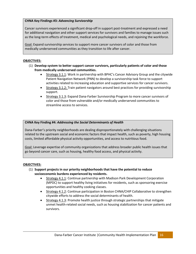#### **CHNA Key Findings #3:** *Advancing Survivorship*

Cancer survivors experienced a significant drop-off in support post-treatment and expressed a need for additional navigation and other support services for survivors and families to manage issues such as the long-term effects of treatment, medical and psychological needs, and rejoining the workforce.

Goal: Expand survivorship services to support more cancer survivors of color and those from medically underserved communities as they transition to life after cancer.

## **OBJECTIVES:**

- (1) **Develop system to better support cancer survivors, particularly patients of color and those from medically underserved communities.**
	- Strategy 3.1.1: Work in partnership with BPHC's Cancer Advisory Group and the citywide Patient Navigation Network (PNN) to develop a survivorship task force to support activities related to increasing education and supportive services for cancer survivors.
	- Strategy 3.1.2: Train patient navigators around best practices for providing survivorship support.
	- Strategy 3.1.3: Expand Dana-Farber Survivorship Program to more cancer survivors of color and those from vulnerable and/or medically underserved communities to streamline access to services.

#### **CHNA Key Finding #4:** *Addressing the Social Determinants of Health*

Dana-Farber's priority neighborhoods are dealing disproportionately with challenging situations related to the upstream social and economic factors that impact health, such as poverty, high housing costs, limited affordable physical activity opportunities, and access to nutritious food.

Goal: Leverage expertise of community organizations that address broader public health issues that go beyond cancer care, such as housing, healthy food access, and physical activity.

#### **OBJECTIVES:**

- (1) **Support projects in our priority neighborhoods that have the potential to reduce socioeconomic burdens experienced by residents.** 
	- Strategy 4.1.1: Continue partnership with Madison Park Development Corporation (MPDC) to support healthy living initiatives for residents, such as sponsoring exercise opportunities and healthy cooking classes.
	- Strategy 4.1.2: Continue participation in Boston CHNA/CHIP Collaborative to strengthen citywide efforts to address the social determinants of health.
	- Strategy 4.1.3: Promote health justice through strategic partnerships that mitigate unmet health-related social needs, such as housing stabilization for cancer patients and survivors.